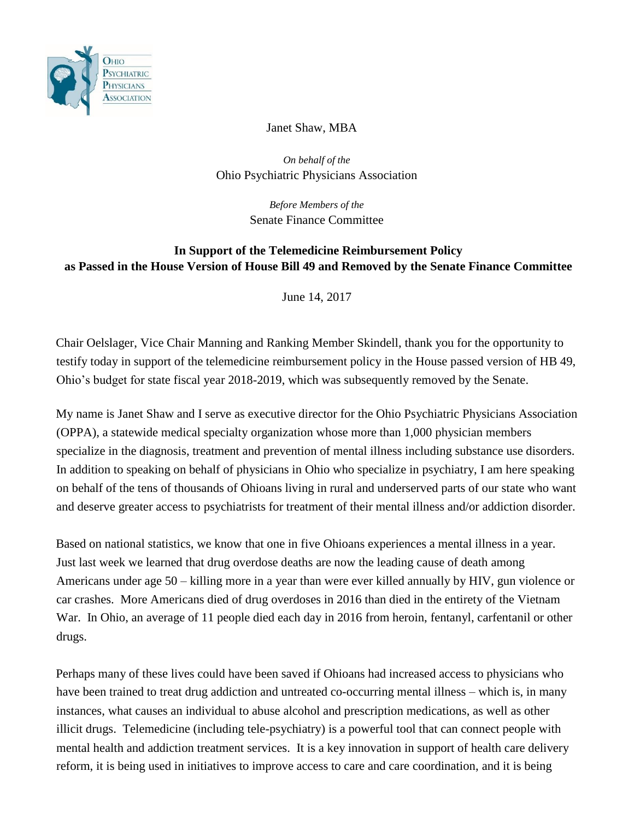

Janet Shaw, MBA

*On behalf of the*  Ohio Psychiatric Physicians Association

> *Before Members of the*  Senate Finance Committee

## **In Support of the Telemedicine Reimbursement Policy as Passed in the House Version of House Bill 49 and Removed by the Senate Finance Committee**

June 14, 2017

Chair Oelslager, Vice Chair Manning and Ranking Member Skindell, thank you for the opportunity to testify today in support of the telemedicine reimbursement policy in the House passed version of HB 49, Ohio's budget for state fiscal year 2018-2019, which was subsequently removed by the Senate.

My name is Janet Shaw and I serve as executive director for the Ohio Psychiatric Physicians Association (OPPA), a statewide medical specialty organization whose more than 1,000 physician members specialize in the diagnosis, treatment and prevention of mental illness including substance use disorders. In addition to speaking on behalf of physicians in Ohio who specialize in psychiatry, I am here speaking on behalf of the tens of thousands of Ohioans living in rural and underserved parts of our state who want and deserve greater access to psychiatrists for treatment of their mental illness and/or addiction disorder.

Based on national statistics, we know that one in five Ohioans experiences a mental illness in a year. Just last week we learned that drug overdose deaths are now the leading cause of death among Americans under age 50 – killing more in a year than were ever killed annually by HIV, gun violence or car crashes. More Americans died of drug overdoses in 2016 than died in the entirety of the Vietnam War. In Ohio, an average of 11 people died each day in 2016 from heroin, fentanyl, carfentanil or other drugs.

Perhaps many of these lives could have been saved if Ohioans had increased access to physicians who have been trained to treat drug addiction and untreated co-occurring mental illness – which is, in many instances, what causes an individual to abuse alcohol and prescription medications, as well as other illicit drugs. Telemedicine (including tele-psychiatry) is a powerful tool that can connect people with mental health and addiction treatment services. It is a key innovation in support of health care delivery reform, it is being used in initiatives to improve access to care and care coordination, and it is being